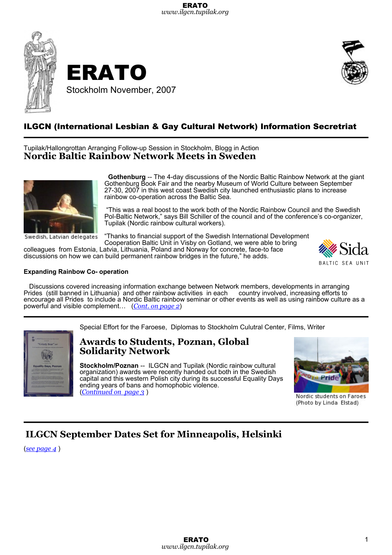



## ILGCN (International Lesbian & Gay Cultural Network) Information Secretriat

Tupilak/Hallongrottan Arranging Follow-up Session in Stockholm, Blogg in Action **Nordic Baltic Rainbow Network Meets in Sweden**



Swedish, Latvian delegates

**Gothenburg** -- The 4-day discussions of the Nordic Baltic Rainbow Network at the giant Gothenburg Book Fair and the nearby Museum of World Culture between September 27-30, 2007 in this west coast Swedish city launched enthusiastic plans to increase rainbow co-operation across the Baltic Sea.

"This was a real boost to the work both of the Nordic Rainbow Council and the Swedish Pol-Baltic Network," says Bill Schiller of the council and of the conference's co-organizer, Tupilak (Nordic rainbow cultural workers).

"Thanks to financial support of the Swedish International Development Cooperation Baltic Unit in Visby on Gotland, we were able to bring

colleagues from Estonia, Latvia, Lithuania, Poland and Norway for concrete, face-to face discussions on how we can build permanent rainbow bridges in the future," he adds.



#### **Expanding Rainbow Co- operation**

Discussions covered increasing information exchange between Network members, developments in arranging<br>rides (still banned in Lithuania) and other rainbow activities in each country involved, increasing efforts to Prides (still banned in Lithuania) and other rainbow activities in each encourage all Prides to include a Nordic Baltic rainbow seminar or other events as well as using rainbow culture as a powerful and visible complement… (*Cont. on page 2*)

Special Effort for the Faroese, Diplomas to Stockholm Culutral Center, Films, Writer

### **Awards to Students, Poznan, Global Solidarity Network**

**Stockholm/Poznan** -- ILGCN and Tupilak (Nordic rainbow cultural organization) awards were recently handed out both in the Swedish capital and this western Polish city during its successful Equality Days ending years of bans and homophobic violence. (*Continued on page 3* )



Nordic students on Faroes (Photo by Linda Elstad)

### **ILGCN September Dates Set for Minneapolis, Helsinki**

(*see page 4* )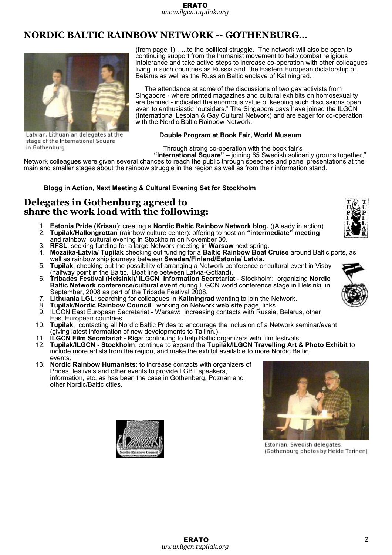## **NORDIC BALTIC RAINBOW NETWORK -- GOTHENBURG…**



Latvian, Lithuanian delegates at the stage of the International Square in Gothenburg

(from page 1) …..to the political struggle. The network will also be open to continuing support from the humanist movement to help combat religious intolerance and take active steps to increase co-operation with other colleagues living in such countries as Russia and the Eastern European dictatorship of Belarus as well as the Russian Baltic enclave of Kaliningrad.

The attendance at some of the discussions of two gay activists from Singapore - where printed magazines and cultural exhibits on homosexuality are banned - indicated the enormous value of keeping such discussions open even to enthusiastic "outsiders." The Singapore gays have joined the ILGCN (International Lesbian & Gay Cultural Network) and are eager for co-operation with the Nordic Baltic Rainbow Network.

#### **Double Program at Book Fair, World Museum**

Through strong co-operation with the book fair's

**"International Square"** – joining 65 Swedish solidarity groups together," Network colleagues were given several chances to reach the public through speeches and panel presentations at the main and smaller stages about the rainbow struggle in the region as well as from their information stand.

### **Blogg in Action, Next Meeting & Cultural Evening Set for Stockholm**

### **Delegates in Gothenburg agreed to share the work load with the following:**

- 1. **Estonia Pride (Krissu**): creating a **Nordic Baltic Rainbow Network blog.** ((Aleady in action) 2. **Tupilak/Hallongrottan** (rainbow culture center): offering to host an **"intermediate" meeting** and rainbow cultural evening in Stockholm on November 30.
- 3. **RFSL**: seeking funding for a large Network meeting in **Warsaw** next spring.
- 4. **Mozaika-Latvia/ Tupilak** checking out funding for a **Baltic Rainbow Boat Cruise** around Baltic ports, as well as rainbow ship journeys between **Sweden/Finland/Estonia/ Latvia.**
- 5. **Tupilak**: checking out the possibility of arranging a Network conference or cultural event in Visby (halfway point in the Baltic. Boat line between Latvia-Gotland).
- 6. **Tribades Festival (Helsinki)/ ILGCN Information Secretariat** Stockholm: organizing **Nordic Baltic Network conference/cultural event** during ILGCN world conference stage in Helsinki in September, 2008 as part of the Tribade Festival 2008.
- 7. **Lithuania LGL**: searching for colleagues in **Kaliningrad** wanting to join the Network.
- 8. **Tupilak/Nordic Rainbow Council**: working on Network **web site** page, links.
- 9. ILGCN East European Secretariat Warsaw: increasing contacts with Russia, Belarus, other East European countries.
- 10. **Tupilak**: contacting all Nordic Baltic Prides to encourage the inclusion of a Network seminar/event (giving latest information of new developments to Tallinn.).
- 11. **ILGCN Film Secretariat Riga**: continuing to help Baltic organizers with film festivals.
- 12. **Tupilak/ILGCN Stockholm**: continue to expand the **Tupilak/ILGCN Travelling Art & Photo Exhibit** to include more artists from the region, and make the exhibit available to more Nordic Baltic events.
- 13. **Nordic Rainbow Humanists**: to increase contacts with organizers of Prides, festivals and other events to provide LGBT speakers, information, etc. as has been the case in Gothenberg, Poznan and other Nordic/Baltic cities.





Estonian, Swedish delegates. (Gothenburg photos by Heide Terinen)



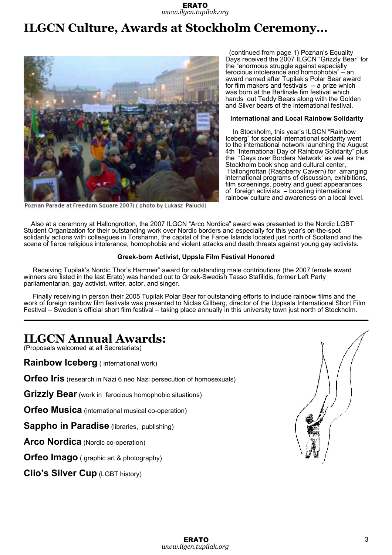# **ILGCN Culture, Awards at Stockholm Ceremony…**



Poznan Parade at Freedom Square 2007) (photo by Lukasz Palucki)

(continued from page 1) Poznan's Equality Days received the 2007 ILGCN "Grizzly Bear" for the "enormous struggle against especially ferocious intolerance and homophobia" – an award named after Tupilak's Polar Bear award for film makers and festivals -- a prize which was born at the Berlinale fim festival which hands out Teddy Bears along with the Golden and Silver bears of the international festival.

#### **International and Local Rainbow Solidarity**

In Stockholm, this year's ILGCN "Rainbow Iceberg" for special international soldarity went to the international network launching the August 4th "International Day of Rainbow Solidarity" plus the "Gays over Borders Network' as well as the Stockholm book shop and cultural center, Hallongrottan (Raspberry Cavern) for arranging international programs of discussion, exhibitions, film screenings, poetry and guest appearances of foreign activists – boosting international rainbow culture and awareness on a local level.

Also at a ceremony at Hallongrotton, the 2007 ILGCN "Arco Nordica" award was presented to the Nordic LGBT Student Organization for their outstanding work over Nordic borders and especially for this year's on-the-spot solidarity actions with colleagues in Torshamn, the capital of the Faroe Islands located just north of Scotland and the scene of fierce religious intolerance, homophobia and violent attacks and death threats against young gay activists.

#### **Greek-born Activist, Uppsla Film Festival Honored**

Receiving Tupilak's Nordic"Thor's Hammer" award for outstanding male contributions (the 2007 female award winners are listed in the last Erato) was handed out to Greek-Swedish Tasso Stafilidis, former Left Party parliamentarian, gay activist, writer, actor, and singer.

Finally receiving in person their 2005 Tupilak Polar Bear for outstanding efforts to include rainbow films and the work of foreign rainbow film festivals was presented to Niclas Gillberg, director of the Uppsala International Short Film Festival – Sweden's official short film festival – taking place annually in this university town just north of Stockholm.

## **ILGCN Annual Awards:**

(Proposals welcomed at all Secretariats)

**Rainbow Iceberg** ( international work)

**Orfeo Iris** (research in Nazi 6 neo Nazi persecution of homosexuals)

**Grizzly Bear** (work in ferocious homophobic situations)

**Orfeo Musica** (international musical co-operation)

**Sappho in Paradise** (libraries, publishing)

**Arco Nordica** (Nordic co-operation)

**Orfeo Imago** ( graphic art & photography)

**Clio's Silver Cup** (LGBT history)